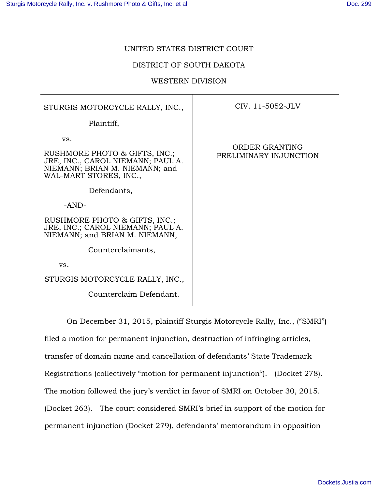### UNITED STATES DISTRICT COURT

### DISTRICT OF SOUTH DAKOTA

### WESTERN DIVISION

| STURGIS MOTORCYCLE RALLY, INC.,                                                                      | CIV. 11-5052-JLV                         |
|------------------------------------------------------------------------------------------------------|------------------------------------------|
| Plaintiff,                                                                                           |                                          |
| VS.<br>RUSHMORE PHOTO & GIFTS, INC.;                                                                 | ORDER GRANTING<br>PRELIMINARY INJUNCTION |
| JRE, INC., CAROL NIEMANN; PAUL A.<br>NIEMANN; BRIAN M. NIEMANN; and<br>WAL-MART STORES, INC.,        |                                          |
| Defendants,                                                                                          |                                          |
| $-AND-$                                                                                              |                                          |
| RUSHMORE PHOTO & GIFTS, INC.;<br>JRE, INC.; CAROL NIEMANN; PAUL A.<br>NIEMANN; and BRIAN M. NIEMANN, |                                          |
| Counterclaimants,                                                                                    |                                          |
| VS.                                                                                                  |                                          |
| STURGIS MOTORCYCLE RALLY, INC.,                                                                      |                                          |
| Counterclaim Defendant.                                                                              |                                          |

On December 31, 2015, plaintiff Sturgis Motorcycle Rally, Inc., ("SMRI") filed a motion for permanent injunction, destruction of infringing articles, transfer of domain name and cancellation of defendants' State Trademark Registrations (collectively "motion for permanent injunction"). (Docket 278). The motion followed the jury's verdict in favor of SMRI on October 30, 2015. (Docket 263). The court considered SMRI's brief in support of the motion for permanent injunction (Docket 279), defendants' memorandum in opposition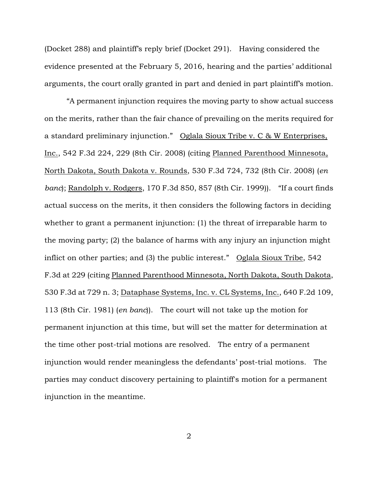(Docket 288) and plaintiff's reply brief (Docket 291). Having considered the evidence presented at the February 5, 2016, hearing and the parties' additional arguments, the court orally granted in part and denied in part plaintiff's motion.

"A permanent injunction requires the moving party to show actual success on the merits, rather than the fair chance of prevailing on the merits required for a standard preliminary injunction." Oglala Sioux Tribe v. C & W Enterprises, Inc., 542 F.3d 224, 229 (8th Cir. 2008) (citing Planned Parenthood Minnesota, North Dakota, South Dakota v. Rounds, 530 F.3d 724, 732 (8th Cir. 2008) (*en banc*); Randolph v. Rodgers, 170 F.3d 850, 857 (8th Cir. 1999)). "If a court finds actual success on the merits, it then considers the following factors in deciding whether to grant a permanent injunction: (1) the threat of irreparable harm to the moving party; (2) the balance of harms with any injury an injunction might inflict on other parties; and (3) the public interest." Oglala Sioux Tribe, 542 F.3d at 229 (citing Planned Parenthood Minnesota, North Dakota, South Dakota, 530 F.3d at 729 n. 3; Dataphase Systems, Inc. v. CL Systems, Inc., 640 F.2d 109, 113 (8th Cir. 1981) (*en banc*)). The court will not take up the motion for permanent injunction at this time, but will set the matter for determination at the time other post-trial motions are resolved. The entry of a permanent injunction would render meaningless the defendants' post-trial motions. The parties may conduct discovery pertaining to plaintiff's motion for a permanent injunction in the meantime.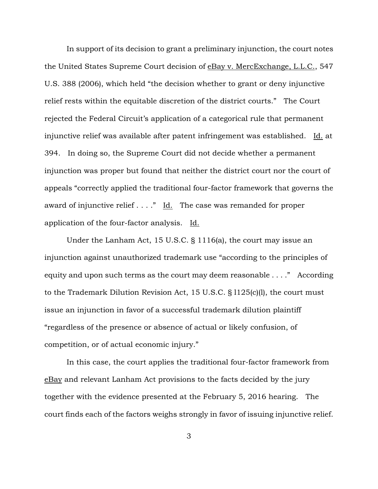In support of its decision to grant a preliminary injunction, the court notes the United States Supreme Court decision of eBay v. MercExchange, L.L.C., 547 U.S. 388 (2006), which held "the decision whether to grant or deny injunctive relief rests within the equitable discretion of the district courts." The Court rejected the Federal Circuit's application of a categorical rule that permanent injunctive relief was available after patent infringement was established. Id. at 394. In doing so, the Supreme Court did not decide whether a permanent injunction was proper but found that neither the district court nor the court of appeals "correctly applied the traditional four-factor framework that governs the award of injunctive relief  $\dots$ ." Id. The case was remanded for proper application of the four-factor analysis. Id.

Under the Lanham Act, 15 U.S.C. § 1116(a), the court may issue an injunction against unauthorized trademark use "according to the principles of equity and upon such terms as the court may deem reasonable . . . ." According to the Trademark Dilution Revision Act, 15 U.S.C. § l125(c)(l), the court must issue an injunction in favor of a successful trademark dilution plaintiff "regardless of the presence or absence of actual or likely confusion, of competition, or of actual economic injury."

In this case, the court applies the traditional four-factor framework from eBay and relevant Lanham Act provisions to the facts decided by the jury together with the evidence presented at the February 5, 2016 hearing. The court finds each of the factors weighs strongly in favor of issuing injunctive relief.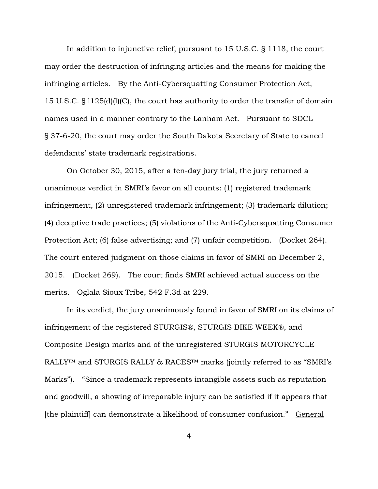In addition to injunctive relief, pursuant to 15 U.S.C. § 1118, the court may order the destruction of infringing articles and the means for making the infringing articles. By the Anti-Cybersquatting Consumer Protection Act, 15 U.S.C. § l125(d)(l)(C), the court has authority to order the transfer of domain names used in a manner contrary to the Lanham Act. Pursuant to SDCL § 37-6-20, the court may order the South Dakota Secretary of State to cancel defendants' state trademark registrations.

On October 30, 2015, after a ten-day jury trial, the jury returned a unanimous verdict in SMRI's favor on all counts: (1) registered trademark infringement, (2) unregistered trademark infringement; (3) trademark dilution; (4) deceptive trade practices; (5) violations of the Anti-Cybersquatting Consumer Protection Act; (6) false advertising; and (7) unfair competition. (Docket 264). The court entered judgment on those claims in favor of SMRI on December 2, 2015. (Docket 269). The court finds SMRI achieved actual success on the merits. Oglala Sioux Tribe, 542 F.3d at 229.

In its verdict, the jury unanimously found in favor of SMRI on its claims of infringement of the registered STURGIS®, STURGIS BIKE WEEK®, and Composite Design marks and of the unregistered STURGIS MOTORCYCLE RALLY™ and STURGIS RALLY & RACES™ marks (jointly referred to as "SMRI's Marks"). "Since a trademark represents intangible assets such as reputation and goodwill, a showing of irreparable injury can be satisfied if it appears that [the plaintiff] can demonstrate a likelihood of consumer confusion." General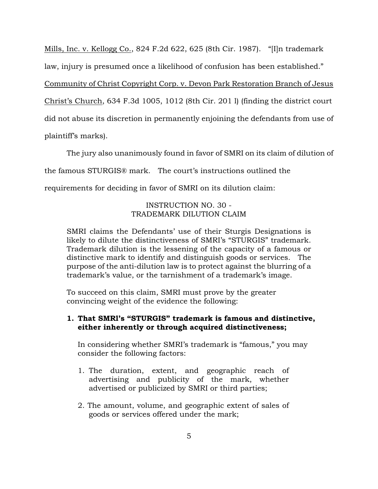Mills, Inc. v. Kellogg Co., 824 F.2d 622, 625 (8th Cir. 1987). "[I]n trademark law, injury is presumed once a likelihood of confusion has been established."

Community of Christ Copyright Corp. v. Devon Park Restoration Branch of Jesus

Christ's Church, 634 F.3d 1005, 1012 (8th Cir. 201 l) (finding the district court

did not abuse its discretion in permanently enjoining the defendants from use of

plaintiff's marks).

The jury also unanimously found in favor of SMRI on its claim of dilution of

the famous STURGIS® mark. The court's instructions outlined the

requirements for deciding in favor of SMRI on its dilution claim:

# INSTRUCTION NO. 30 - TRADEMARK DILUTION CLAIM

SMRI claims the Defendants' use of their Sturgis Designations is likely to dilute the distinctiveness of SMRI's "STURGIS" trademark. Trademark dilution is the lessening of the capacity of a famous or distinctive mark to identify and distinguish goods or services. The purpose of the anti-dilution law is to protect against the blurring of a trademark's value, or the tarnishment of a trademark's image.

To succeed on this claim, SMRI must prove by the greater convincing weight of the evidence the following:

## **1. That SMRl's "STURGIS" trademark is famous and distinctive, either inherently or through acquired distinctiveness;**

In considering whether SMRI's trademark is "famous," you may consider the following factors:

- 1. The duration, extent, and geographic reach of advertising and publicity of the mark, whether advertised or publicized by SMRI or third parties;
- 2. The amount, volume, and geographic extent of sales of goods or services offered under the mark;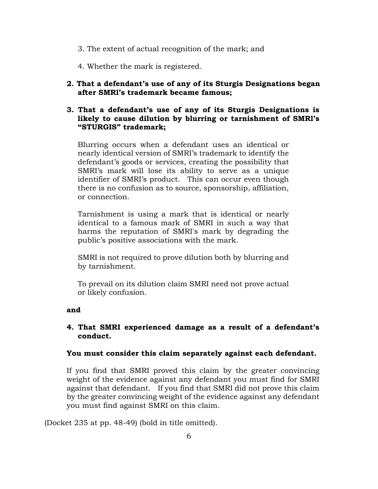- 3. The extent of actual recognition of the mark; and
- 4. Whether the mark is registered.
- **2. That a defendant's use of any of its Sturgis Designations began after SMRl's trademark became famous;**

## **3. That a defendant's use of any of its Sturgis Designations is likely to cause dilution by blurring or tarnishment of SMRl's "STURGIS" trademark;**

Blurring occurs when a defendant uses an identical or nearly identical version of SMRI's trademark to identify the defendant's goods or services, creating the possibility that SMRI's mark will lose its ability to serve as a unique identifier of SMRI's product. This can occur even though there is no confusion as to source, sponsorship, affiliation, or connection.

Tarnishment is using a mark that is identical or nearly identical to a famous mark of SMRI in such a way that harms the reputation of SMRI's mark by degrading the public's positive associations with the mark.

SMRI is not required to prove dilution both by blurring and by tarnishment.

To prevail on its dilution claim SMRI need not prove actual or likely confusion.

### **and**

### **4. That SMRI experienced damage as a result of a defendant's conduct.**

### **You must consider this claim separately against each defendant.**

If you find that SMRI proved this claim by the greater convincing weight of the evidence against any defendant you must find for SMRI against that defendant. If you find that SMRI did not prove this claim by the greater convincing weight of the evidence against any defendant you must find against SMRI on this claim.

(Docket 235 at pp. 48-49) (bold in title omitted).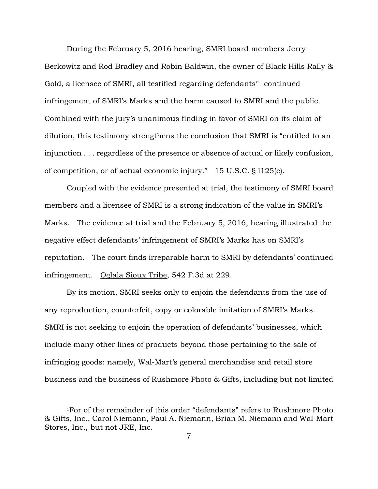During the February 5, 2016 hearing, SMRI board members Jerry Berkowitz and Rod Bradley and Robin Baldwin, the owner of Black Hills Rally & Gold, a licensee of SMRI, all testified regarding defendants'1 continued infringement of SMRI's Marks and the harm caused to SMRI and the public. Combined with the jury's unanimous finding in favor of SMRI on its claim of dilution, this testimony strengthens the conclusion that SMRI is "entitled to an injunction . . . regardless of the presence or absence of actual or likely confusion, of competition, or of actual economic injury." 15 U.S.C. § l125(c).

Coupled with the evidence presented at trial, the testimony of SMRI board members and a licensee of SMRI is a strong indication of the value in SMRI's Marks. The evidence at trial and the February 5, 2016, hearing illustrated the negative effect defendants' infringement of SMRI's Marks has on SMRI's reputation. The court finds irreparable harm to SMRI by defendants' continued infringement. Oglala Sioux Tribe, 542 F.3d at 229.

By its motion, SMRI seeks only to enjoin the defendants from the use of any reproduction, counterfeit, copy or colorable imitation of SMRI's Marks. SMRI is not seeking to enjoin the operation of defendants' businesses, which include many other lines of products beyond those pertaining to the sale of infringing goods: namely, Wal-Mart's general merchandise and retail store business and the business of Rushmore Photo & Gifts, including but not limited

 $\overline{a}$ 

<sup>1</sup>For of the remainder of this order "defendants" refers to Rushmore Photo & Gifts, Inc., Carol Niemann, Paul A. Niemann, Brian M. Niemann and Wal-Mart Stores, Inc., but not JRE, Inc.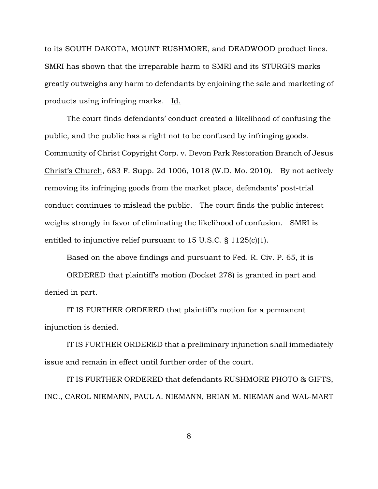to its SOUTH DAKOTA, MOUNT RUSHMORE, and DEADWOOD product lines. SMRI has shown that the irreparable harm to SMRI and its STURGIS marks greatly outweighs any harm to defendants by enjoining the sale and marketing of products using infringing marks. Id.

The court finds defendants' conduct created a likelihood of confusing the public, and the public has a right not to be confused by infringing goods. Community of Christ Copyright Corp. v. Devon Park Restoration Branch of Jesus Christ's Church, 683 F. Supp. 2d 1006, 1018 (W.D. Mo. 2010). By not actively removing its infringing goods from the market place, defendants' post-trial conduct continues to mislead the public. The court finds the public interest weighs strongly in favor of eliminating the likelihood of confusion. SMRI is entitled to injunctive relief pursuant to 15 U.S.C. § 1125(c)(1).

Based on the above findings and pursuant to Fed. R. Civ. P. 65, it is

ORDERED that plaintiff's motion (Docket 278) is granted in part and denied in part.

IT IS FURTHER ORDERED that plaintiff's motion for a permanent injunction is denied.

IT IS FURTHER ORDERED that a preliminary injunction shall immediately issue and remain in effect until further order of the court.

IT IS FURTHER ORDERED that defendants RUSHMORE PHOTO & GIFTS, INC., CAROL NIEMANN, PAUL A. NIEMANN, BRIAN M. NIEMAN and WAL-MART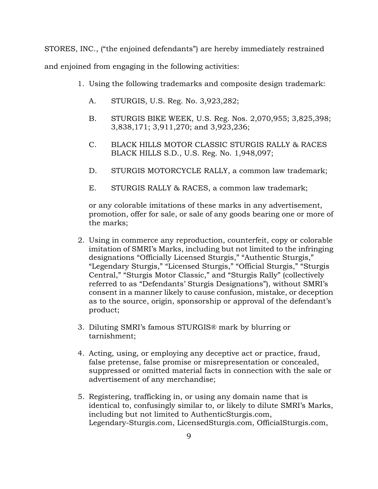STORES, INC., ("the enjoined defendants") are hereby immediately restrained and enjoined from engaging in the following activities:

- 1. Using the following trademarks and composite design trademark:
	- A. STURGIS, U.S. Reg. No. 3,923,282;
	- B. STURGIS BIKE WEEK, U.S. Reg. Nos. 2,070,955; 3,825,398; 3,838,171; 3,911,270; and 3,923,236;
	- C. BLACK HILLS MOTOR CLASSIC STURGIS RALLY & RACES BLACK HILLS S.D., U.S. Reg. No. 1,948,097;
	- D. STURGIS MOTORCYCLE RALLY, a common law trademark;
	- E. STURGIS RALLY & RACES, a common law trademark;

or any colorable imitations of these marks in any advertisement, promotion, offer for sale, or sale of any goods bearing one or more of the marks;

- 2. Using in commerce any reproduction, counterfeit, copy or colorable imitation of SMRI's Marks, including but not limited to the infringing designations "Officially Licensed Sturgis," "Authentic Sturgis," "Legendary Sturgis," "Licensed Sturgis," "Official Sturgis," "Sturgis Central," "Sturgis Motor Classic," and "Sturgis Rally" (collectively referred to as "Defendants' Sturgis Designations"), without SMRI's consent in a manner likely to cause confusion, mistake, or deception as to the source, origin, sponsorship or approval of the defendant's product;
- 3. Diluting SMRI's famous STURGIS® mark by blurring or tarnishment;
- 4. Acting, using, or employing any deceptive act or practice, fraud, false pretense, false promise or misrepresentation or concealed, suppressed or omitted material facts in connection with the sale or advertisement of any merchandise;
- 5. Registering, trafficking in, or using any domain name that is identical to, confusingly similar to, or likely to dilute SMRI's Marks, including but not limited to AuthenticSturgis.com, Legendary-Sturgis.com, LicensedSturgis.com, OfficialSturgis.com,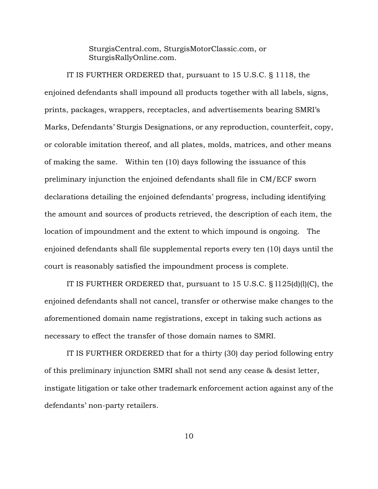SturgisCentral.com, SturgisMotorClassic.com, or SturgisRallyOnline.com.

IT IS FURTHER ORDERED that, pursuant to 15 U.S.C. § 1118, the enjoined defendants shall impound all products together with all labels, signs, prints, packages, wrappers, receptacles, and advertisements bearing SMRI's Marks, Defendants' Sturgis Designations, or any reproduction, counterfeit, copy, or colorable imitation thereof, and all plates, molds, matrices, and other means of making the same. Within ten (10) days following the issuance of this preliminary injunction the enjoined defendants shall file in CM/ECF sworn declarations detailing the enjoined defendants' progress, including identifying the amount and sources of products retrieved, the description of each item, the location of impoundment and the extent to which impound is ongoing. The enjoined defendants shall file supplemental reports every ten (10) days until the court is reasonably satisfied the impoundment process is complete.

IT IS FURTHER ORDERED that, pursuant to  $15$  U.S.C.  $\S 1125(d)(l)(C)$ , the enjoined defendants shall not cancel, transfer or otherwise make changes to the aforementioned domain name registrations, except in taking such actions as necessary to effect the transfer of those domain names to SMRI.

IT IS FURTHER ORDERED that for a thirty (30) day period following entry of this preliminary injunction SMRI shall not send any cease & desist letter, instigate litigation or take other trademark enforcement action against any of the defendants' non-party retailers.